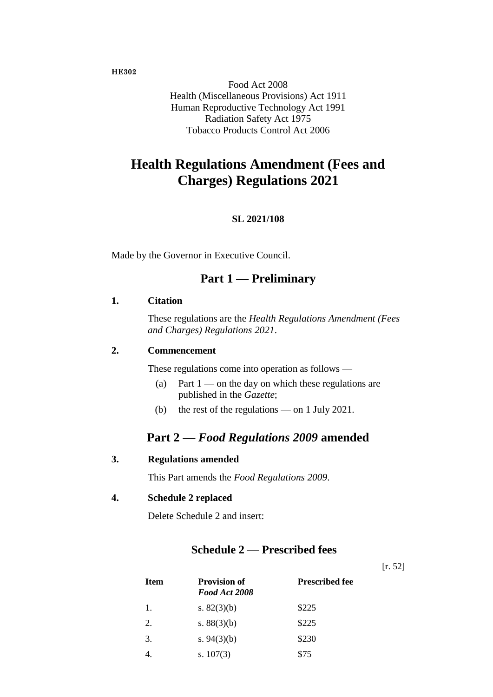#### **HE302**

Food Act 2008 Health (Miscellaneous Provisions) Act 1911 Human Reproductive Technology Act 1991 Radiation Safety Act 1975 Tobacco Products Control Act 2006

# **Health Regulations Amendment (Fees and Charges) Regulations 2021**

#### **SL 2021/108**

Made by the Governor in Executive Council.

## **Part 1 — Preliminary**

#### **1. Citation**

These regulations are the *Health Regulations Amendment (Fees and Charges) Regulations 2021*.

### **2. Commencement**

These regulations come into operation as follows —

- (a) Part  $1$  on the day on which these regulations are published in the *Gazette*;
- (b) the rest of the regulations on 1 July 2021.

### **Part 2 —** *Food Regulations 2009* **amended**

#### **3. Regulations amended**

This Part amends the *Food Regulations 2009*.

### **4. Schedule 2 replaced**

Delete Schedule 2 and insert:

### **Schedule 2 — Prescribed fees**

[r. 52]

| <b>Item</b> | <b>Provision of</b><br>Food Act 2008 | <b>Prescribed fee</b> |
|-------------|--------------------------------------|-----------------------|
| 1.          | s. $82(3)(b)$                        | \$225                 |
| 2.          | s. $88(3)(b)$                        | \$225                 |
| 3.          | s. $94(3)(b)$                        | \$230                 |
|             | s. $107(3)$                          | \$75                  |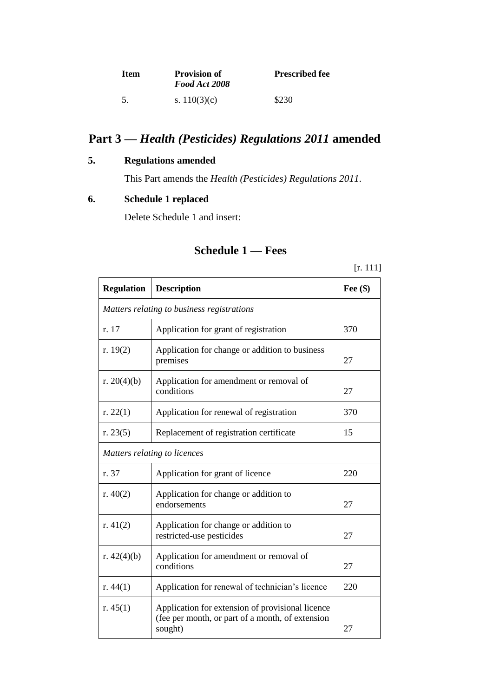| – Item | <b>Provision of</b><br>Food Act 2008 | <b>Prescribed fee</b> |
|--------|--------------------------------------|-----------------------|
| -5.    | s. $110(3)(c)$                       | \$230                 |

# **Part 3 —** *Health (Pesticides) Regulations 2011* **amended**

## **5. Regulations amended**

This Part amends the *Health (Pesticides) Regulations 2011*.

## **6. Schedule 1 replaced**

Delete Schedule 1 and insert:

## **Schedule 1 — Fees**

[r. 111]

| <b>Regulation</b> | <b>Description</b>                                                                                              | Fee $(\$)$ |
|-------------------|-----------------------------------------------------------------------------------------------------------------|------------|
|                   | Matters relating to business registrations                                                                      |            |
| r. 17             | Application for grant of registration                                                                           | 370        |
| r. $19(2)$        | Application for change or addition to business<br>premises                                                      | 27         |
| r. $20(4)(b)$     | Application for amendment or removal of<br>conditions                                                           | 27         |
| r. $22(1)$        | Application for renewal of registration                                                                         | 370        |
| r. $23(5)$        | Replacement of registration certificate                                                                         | 15         |
|                   | Matters relating to licences                                                                                    |            |
| r. 37             | Application for grant of licence                                                                                | 220        |
| r. $40(2)$        | Application for change or addition to<br>endorsements                                                           | 27         |
| r. $41(2)$        | Application for change or addition to<br>restricted-use pesticides                                              | 27         |
| r. $42(4)(b)$     | Application for amendment or removal of<br>conditions                                                           | 27         |
| r. $44(1)$        | Application for renewal of technician's licence                                                                 | 220        |
| r. $45(1)$        | Application for extension of provisional licence<br>(fee per month, or part of a month, of extension<br>sought) | 27         |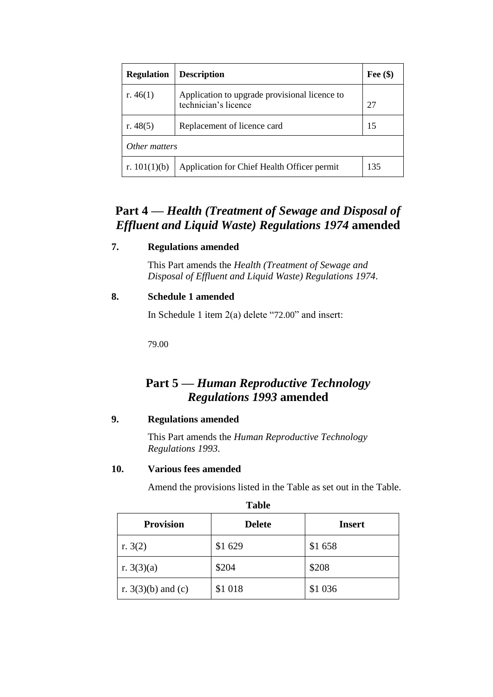| <b>Regulation</b> | <b>Description</b>                                                    | Fee $(\$)$ |
|-------------------|-----------------------------------------------------------------------|------------|
| r. $46(1)$        | Application to upgrade provisional licence to<br>technician's licence | 27         |
| r. $48(5)$        | Replacement of licence card                                           | 15         |
| Other matters     |                                                                       |            |
| r. $101(1)(b)$    | Application for Chief Health Officer permit                           | 135        |

## **Part 4 —** *Health (Treatment of Sewage and Disposal of Effluent and Liquid Waste) Regulations 1974* **amended**

### **7. Regulations amended**

This Part amends the *Health (Treatment of Sewage and Disposal of Effluent and Liquid Waste) Regulations 1974*.

### **8. Schedule 1 amended**

In Schedule 1 item 2(a) delete "72.00" and insert:

79.00

## **Part 5 —** *Human Reproductive Technology Regulations 1993* **amended**

### **9. Regulations amended**

This Part amends the *Human Reproductive Technology Regulations 1993*.

### **10. Various fees amended**

Amend the provisions listed in the Table as set out in the Table.

| <b>Provision</b>     | <b>Delete</b> | <b>Insert</b> |
|----------------------|---------------|---------------|
| r. $3(2)$            | \$1 629       | \$1658        |
| r. $3(3)(a)$         | \$204         | \$208         |
| r. $3(3)(b)$ and (c) | \$1 018       | \$1 0 36      |

**Table**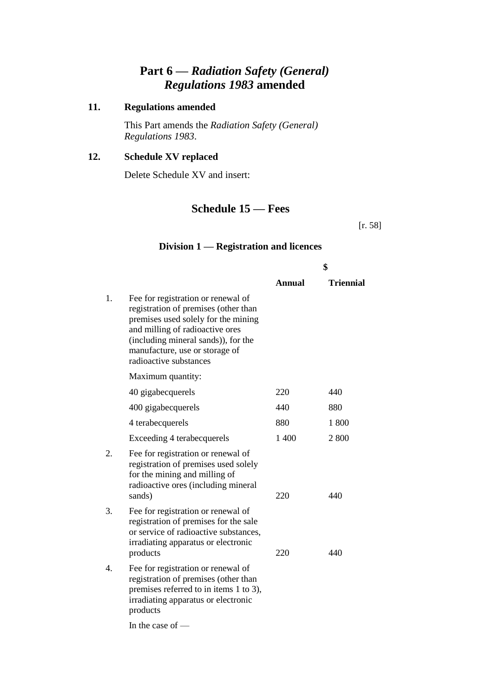## **Part 6 —** *Radiation Safety (General) Regulations 1983* **amended**

## **11. Regulations amended**

This Part amends the *Radiation Safety (General) Regulations 1983*.

### **12. Schedule XV replaced**

Delete Schedule XV and insert:

## **Schedule 15 — Fees**

[r. 58]

### **Division 1 — Registration and licences**

|    |                                                                                                                                                                                                                                                         | \$     |                  |
|----|---------------------------------------------------------------------------------------------------------------------------------------------------------------------------------------------------------------------------------------------------------|--------|------------------|
|    |                                                                                                                                                                                                                                                         | Annual | <b>Triennial</b> |
| 1. | Fee for registration or renewal of<br>registration of premises (other than<br>premises used solely for the mining<br>and milling of radioactive ores<br>(including mineral sands)), for the<br>manufacture, use or storage of<br>radioactive substances |        |                  |
|    | Maximum quantity:                                                                                                                                                                                                                                       |        |                  |
|    | 40 gigabecquerels                                                                                                                                                                                                                                       | 220    | 440              |
|    | 400 gigabecquerels                                                                                                                                                                                                                                      | 440    | 880              |
|    | 4 terabecquerels                                                                                                                                                                                                                                        | 880    | 1 800            |
|    | Exceeding 4 terabecquerels                                                                                                                                                                                                                              | 1 400  | 2800             |
| 2. | Fee for registration or renewal of<br>registration of premises used solely<br>for the mining and milling of<br>radioactive ores (including mineral<br>sands)                                                                                            | 220    | 440              |
| 3. | Fee for registration or renewal of<br>registration of premises for the sale<br>or service of radioactive substances,<br>irradiating apparatus or electronic<br>products                                                                                 | 220    | 440              |
| 4. | Fee for registration or renewal of<br>registration of premises (other than<br>premises referred to in items 1 to 3),<br>irradiating apparatus or electronic<br>products                                                                                 |        |                  |

In the case of —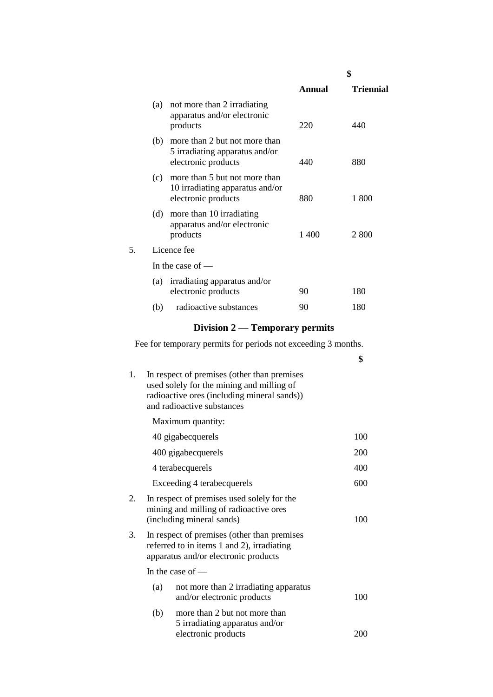|    |                                                                                                |        | \$               |
|----|------------------------------------------------------------------------------------------------|--------|------------------|
|    |                                                                                                | Annual | <b>Triennial</b> |
|    | not more than 2 irradiating<br>(a)<br>apparatus and/or electronic<br>products                  | 220    | 440              |
|    | more than 2 but not more than<br>(b)<br>5 irradiating apparatus and/or<br>electronic products  | 440    | 880              |
|    | more than 5 but not more than<br>(c)<br>10 irradiating apparatus and/or<br>electronic products | 880    | 1 800            |
|    | more than 10 irradiating<br>(d)<br>apparatus and/or electronic<br>products                     | 1 400  | 2 800            |
| 5. | Licence fee                                                                                    |        |                  |
|    | In the case of $-$                                                                             |        |                  |
|    | (a) irradiating apparatus and/or<br>electronic products                                        | 90     | 180              |
|    | radioactive substances<br>(b)                                                                  | 90     | 180              |

# **Division 2 — Temporary permits**

Fee for temporary permits for periods not exceeding 3 months.

|    |     |                                                                                                                                                                       | \$  |
|----|-----|-----------------------------------------------------------------------------------------------------------------------------------------------------------------------|-----|
| 1. |     | In respect of premises (other than premises<br>used solely for the mining and milling of<br>radioactive ores (including mineral sands))<br>and radioactive substances |     |
|    |     | Maximum quantity:                                                                                                                                                     |     |
|    |     | 40 gigabecquerels                                                                                                                                                     | 100 |
|    |     | 400 gigabecquerels                                                                                                                                                    | 200 |
|    |     | 4 terabecquerels                                                                                                                                                      | 400 |
|    |     | Exceeding 4 terabecquerels                                                                                                                                            | 600 |
| 2. |     | In respect of premises used solely for the<br>mining and milling of radioactive ores<br>(including mineral sands)                                                     | 100 |
| 3. |     | In respect of premises (other than premises<br>referred to in items 1 and 2), irradiating<br>apparatus and/or electronic products                                     |     |
|    |     | In the case of $-$                                                                                                                                                    |     |
|    | (a) | not more than 2 irradiating apparatus<br>and/or electronic products                                                                                                   | 100 |
|    | (b) | more than 2 but not more than<br>5 irradiating apparatus and/or<br>electronic products                                                                                | 200 |
|    |     |                                                                                                                                                                       |     |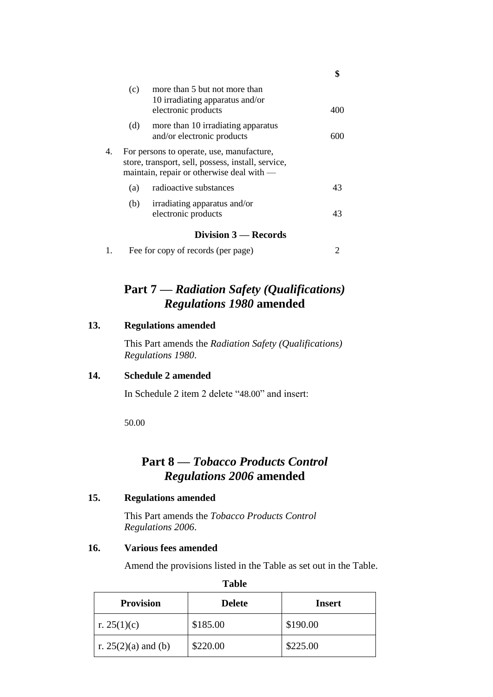|    | (c) | more than 5 but not more than<br>10 irradiating apparatus and/or<br>electronic products                                                      |        |
|----|-----|----------------------------------------------------------------------------------------------------------------------------------------------|--------|
|    | (d) | more than 10 irradiating apparatus<br>and/or electronic products                                                                             | 60 N N |
| 4. |     | For persons to operate, use, manufacture,<br>store, transport, sell, possess, install, service,<br>maintain, repair or otherwise deal with — |        |
|    | (a) | radioactive substances                                                                                                                       | 43     |
|    | (b) | irradiating apparatus and/or<br>electronic products                                                                                          | 43     |
|    |     | Division 3 – Records                                                                                                                         |        |

**\$**

|  | Fee for copy of records (per page) |  |
|--|------------------------------------|--|
|--|------------------------------------|--|

## **Part 7 —** *Radiation Safety (Qualifications) Regulations 1980* **amended**

#### **13. Regulations amended**

This Part amends the *Radiation Safety (Qualifications) Regulations 1980*.

#### **14. Schedule 2 amended**

In Schedule 2 item 2 delete "48.00" and insert:

50.00

## **Part 8 —** *Tobacco Products Control Regulations 2006* **amended**

#### **15. Regulations amended**

This Part amends the *Tobacco Products Control Regulations 2006*.

#### **16. Various fees amended**

Amend the provisions listed in the Table as set out in the Table.

**Table**

| <b>Provision</b>      | <b>Delete</b> | <b>Insert</b> |
|-----------------------|---------------|---------------|
| r. 25(1)(c)           | \$185.00      | \$190.00      |
| r. $25(2)(a)$ and (b) | \$220.00      | \$225.00      |